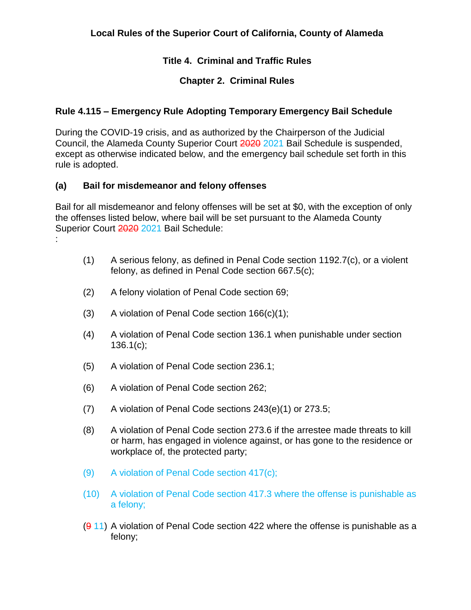# **Title 4. Criminal and Traffic Rules**

# **Chapter 2. Criminal Rules**

# **Rule 4.115 – Emergency Rule Adopting Temporary Emergency Bail Schedule**

During the COVID-19 crisis, and as authorized by the Chairperson of the Judicial Council, the Alameda County Superior Court 2020 2021 Bail Schedule is suspended, except as otherwise indicated below, and the emergency bail schedule set forth in this rule is adopted.

# **(a) Bail for misdemeanor and felony offenses**

Bail for all misdemeanor and felony offenses will be set at \$0, with the exception of only the offenses listed below, where bail will be set pursuant to the Alameda County Superior Court 2020 2021 Bail Schedule: :

- (1) A serious felony, as defined in Penal Code section 1192.7(c), or a violent felony, as defined in Penal Code section 667.5(c);
- (2) A felony violation of Penal Code section 69;
- (3) A violation of Penal Code section 166(c)(1);
- (4) A violation of Penal Code section 136.1 when punishable under section  $136.1(c)$ ;
- (5) A violation of Penal Code section 236.1;
- (6) A violation of Penal Code section 262;
- (7) A violation of Penal Code sections 243(e)(1) or 273.5;
- (8) A violation of Penal Code section 273.6 if the arrestee made threats to kill or harm, has engaged in violence against, or has gone to the residence or workplace of, the protected party;
- (9) A violation of Penal Code section 417(c);
- (10) A violation of Penal Code section 417.3 where the offense is punishable as a felony;
- $(911)$  A violation of Penal Code section 422 where the offense is punishable as a felony;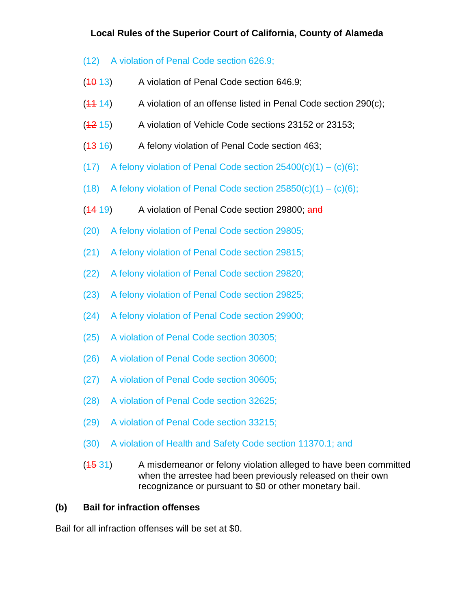# **Local Rules of the Superior Court of California, County of Alameda**

- (12) A violation of Penal Code section 626.9;
- $(10 13)$  A violation of Penal Code section 646.9;
- $(11 14)$  A violation of an offense listed in Penal Code section 290(c);
- (12 15) A violation of Vehicle Code sections 23152 or 23153;
- $(13 16)$  A felony violation of Penal Code section 463;
- (17) A felony violation of Penal Code section  $25400(c)(1) (c)(6)$ ;
- (18) A felony violation of Penal Code section  $25850(c)(1) (c)(6)$ ;
- $(14 19)$  A violation of Penal Code section 29800; and
- (20) A felony violation of Penal Code section 29805;
- (21) A felony violation of Penal Code section 29815;
- (22) A felony violation of Penal Code section 29820;
- (23) A felony violation of Penal Code section 29825;
- (24) A felony violation of Penal Code section 29900;
- (25) A violation of Penal Code section 30305;
- (26) A violation of Penal Code section 30600;
- (27) A violation of Penal Code section 30605;
- (28) A violation of Penal Code section 32625;
- (29) A violation of Penal Code section 33215;
- (30) A violation of Health and Safety Code section 11370.1; and
- $(1531)$  A misdemeanor or felony violation alleged to have been committed when the arrestee had been previously released on their own recognizance or pursuant to \$0 or other monetary bail.

# **(b) Bail for infraction offenses**

Bail for all infraction offenses will be set at \$0.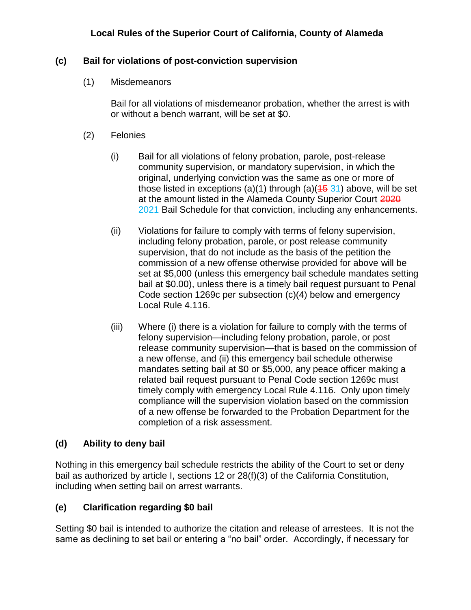### **Local Rules of the Superior Court of California, County of Alameda**

#### **(c) Bail for violations of post-conviction supervision**

(1) Misdemeanors

Bail for all violations of misdemeanor probation, whether the arrest is with or without a bench warrant, will be set at \$0.

- (2) Felonies
	- (i) Bail for all violations of felony probation, parole, post-release community supervision, or mandatory supervision, in which the original, underlying conviction was the same as one or more of those listed in exceptions (a)(1) through (a)( $\frac{45}{31}$ ) above, will be set at the amount listed in the Alameda County Superior Court 2020 2021 Bail Schedule for that conviction, including any enhancements.
	- (ii) Violations for failure to comply with terms of felony supervision, including felony probation, parole, or post release community supervision, that do not include as the basis of the petition the commission of a new offense otherwise provided for above will be set at \$5,000 (unless this emergency bail schedule mandates setting bail at \$0.00), unless there is a timely bail request pursuant to Penal Code section 1269c per subsection (c)(4) below and emergency Local Rule 4.116.
	- (iii) Where (i) there is a violation for failure to comply with the terms of felony supervision—including felony probation, parole, or post release community supervision—that is based on the commission of a new offense, and (ii) this emergency bail schedule otherwise mandates setting bail at \$0 or \$5,000, any peace officer making a related bail request pursuant to Penal Code section 1269c must timely comply with emergency Local Rule 4.116. Only upon timely compliance will the supervision violation based on the commission of a new offense be forwarded to the Probation Department for the completion of a risk assessment.

#### **(d) Ability to deny bail**

Nothing in this emergency bail schedule restricts the ability of the Court to set or deny bail as authorized by article I, sections 12 or 28(f)(3) of the California Constitution, including when setting bail on arrest warrants.

#### **(e) Clarification regarding \$0 bail**

Setting \$0 bail is intended to authorize the citation and release of arrestees. It is not the same as declining to set bail or entering a "no bail" order. Accordingly, if necessary for